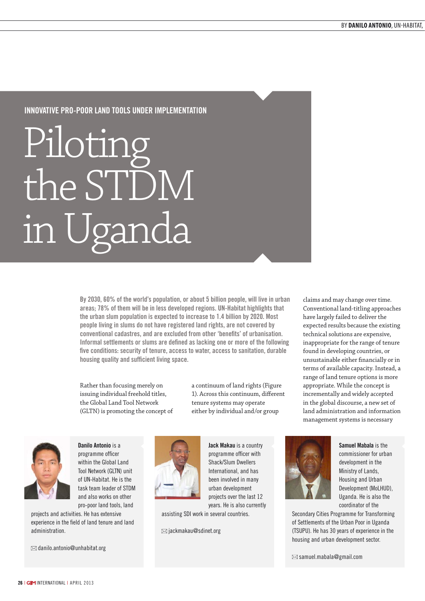# Innovative Pro-poor Land Tools under Implementation

# Piloting the STDM in Uganda

By 2030, 60% of the world's population, or about 5 billion people, will live in urban areas; 78% of them will be in less developed regions. UN-Habitat highlights that the urban slum population is expected to increase to 1.4 billion by 2020. Most people living in slums do not have registered land rights, are not covered by conventional cadastres, and are excluded from other 'benefits' of urbanisation. Informal settlements or slums are defined as lacking one or more of the following five conditions: security of tenure, access to water, access to sanitation, durable housing quality and sufficient living space.

Rather than focusing merely on issuing individual freehold titles, the Global Land Tool Network (GLTN) is promoting the concept of a continuum of land rights (Figure 1). Across this continuum, different tenure systems may operate either by individual and/or group



Danilo Antonio is a programme officer within the Global Land Tool Network (GLTN) unit of UN-Habitat. He is the task team leader of STDM and also works on other pro-poor land tools, land

projects and activities. He has extensive experience in the field of land tenure and land administration.

 $\boxtimes$  danilo.antonio@unhabitat.org



Jack Makau is a country programme officer with Shack/Slum Dwellers International, and has been involved in many urban development projects over the last 12 years. He is also currently

assisting SDI work in several countries.

 $\boxtimes$  jackmakau@sdinet.org

Samuel Mabala is the commissioner for urban development in the Ministry of Lands, Housing and Urban Development (MoLHUD), Uganda. He is also the coordinator of the

Secondary Cities Programme for Transforming of Settlements of the Urban Poor in Uganda (TSUPU). He has 30 years of experience in the housing and urban development sector.

 $\boxtimes$  samuel.mabala@gmail.com

claims and may change over time. Conventional land-titling approaches have largely failed to deliver the expected results because the existing technical solutions are expensive, inappropriate for the range of tenure found in developing countries, or unsustainable either financially or in terms of available capacity. Instead, a range of land tenure options is more appropriate. While the concept is incrementally and widely accepted in the global discourse, a new set of land administration and information management systems is necessary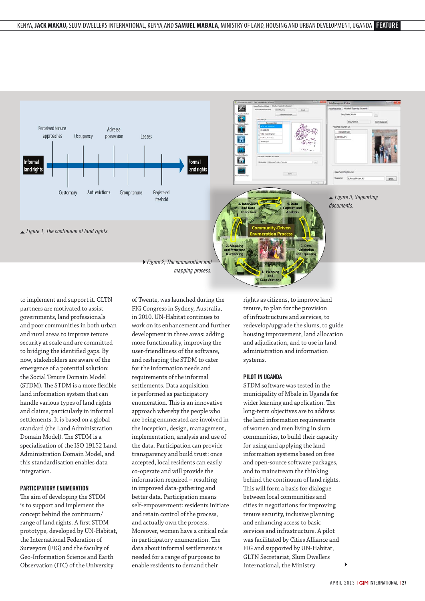

to implement and support it. GLTN partners are motivated to assist governments, land professionals and poor communities in both urban and rural areas to improve tenure security at scale and are committed to bridging the identified gaps. By now, stakeholders are aware of the emergence of a potential solution: the Social Tenure Domain Model (STDM). The STDM is a more flexible land information system that can handle various types of land rights and claims, particularly in informal settlements. It is based on a global standard (the Land Administration Domain Model). The STDM is a specialisation of the ISO 19152 Land Administration Domain Model, and this standardisation enables data integration.

# Participatory Enumeration

The aim of developing the STDM is to support and implement the concept behind the continuum/ range of land rights. A first STDM prototype, developed by UN-Habitat, the International Federation of Surveyors (FIG) and the faculty of Geo-Information Science and Earth Observation (ITC) of the University

of Twente, was launched during the FIG Congress in Sydney, Australia, in 2010. UN-Habitat continues to work on its enhancement and further development in three areas: adding more functionality, improving the user-friendliness of the software, and reshaping the STDM to cater for the information needs and requirements of the informal settlements. Data acquisition is performed as participatory enumeration. This is an innovative approach whereby the people who are being enumerated are involved in the inception, design, management, implementation, analysis and use of the data. Participation can provide transparency and build trust: once accepted, local residents can easily co-operate and will provide the information required – resulting in improved data-gathering and better data. Participation means self-empowerment: residents initiate and retain control of the process, and actually own the process. Moreover, women have a critical role in participatory enumeration. The data about informal settlements is needed for a range of purposes: to enable residents to demand their

rights as citizens, to improve land tenure, to plan for the provision of infrastructure and services, to redevelop/upgrade the slums, to guide housing improvement, land allocation and adjudication, and to use in land administration and information systems.

#### Pilot in Uganda

STDM software was tested in the municipality of Mbale in Uganda for wider learning and application. The long-term objectives are to address the land information requirements of women and men living in slum communities, to build their capacity for using and applying the land information systems based on free and open-source software packages, and to mainstream the thinking behind the continuum of land rights. This will form a basis for dialogue between local communities and cities in negotiations for improving tenure security, inclusive planning and enhancing access to basic services and infrastructure. A pilot was facilitated by Cities Alliance and FIG and supported by UN-Habitat, GLTN Secretariat, Slum Dwellers International, the Ministry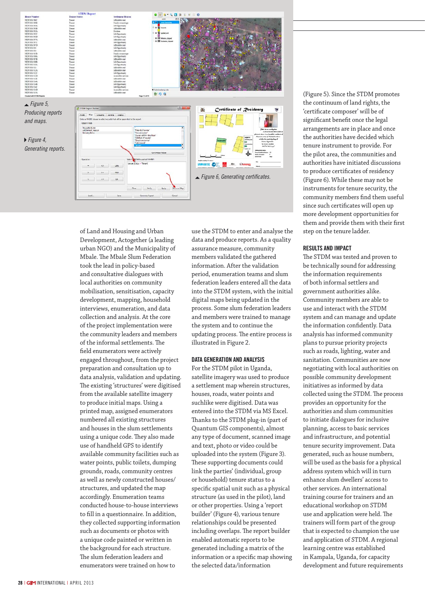

of Land and Housing and Urban Development, Actogether (a leading urban NGO) and the Municipality of Mbale. The Mbale Slum Federation took the lead in policy-based and consultative dialogues with local authorities on community mobilisation, sensitisation, capacity development, mapping, household interviews, enumeration, and data collection and analysis. At the core of the project implementation were the community leaders and members of the informal settlements. The field enumerators were actively engaged throughout, from the project preparation and consultation up to data analysis, validation and updating. The existing 'structures' were digitised from the available satellite imagery to produce initial maps. Using a printed map, assigned enumerators numbered all existing structures and houses in the slum settlements using a unique code. They also made use of handheld GPS to identify available community facilities such as water points, public toilets, dumping grounds, roads, community centres as well as newly constructed houses/ structures, and updated the map accordingly. Enumeration teams conducted house-to-house interviews to fill in a questionnaire. In addition, they collected supporting information such as documents or photos with a unique code painted or written in the background for each structure. The slum federation leaders and enumerators were trained on how to

use the STDM to enter and analyse the data and produce reports. As a quality assurance measure, community members validated the gathered information. After the validation period, enumeration teams and slum federation leaders entered all the data into the STDM system, with the initial digital maps being updated in the process. Some slum federation leaders and members were trained to manage the system and to continue the updating process. The entire process is illustrated in Figure 2.

## Data Generation and Analysis

For the STDM pilot in Uganda, satellite imagery was used to produce a settlement map wherein structures, houses, roads, water points and suchlike were digitised. Data was entered into the STDM via MS Excel. Thanks to the STDM plug-in (part of Quantum GIS components), almost any type of document, scanned image and text, photo or video could be uploaded into the system (Figure 3). These supporting documents could link the parties' (individual, group or household) tenure status to a specific spatial unit such as a physical structure (as used in the pilot), land or other properties. Using a 'report builder' (Figure 4), various tenure relationships could be presented including overlaps. The report builder enabled automatic reports to be generated including a matrix of the information or a specific map showing the selected data/information

(Figure 5). Since the STDM promotes the continuum of land rights, the 'certificate composer' will be of significant benefit once the legal arrangements are in place and once the authorities have decided which tenure instrument to provide. For the pilot area, the communities and authorities have initiated discussions to produce certificates of residency (Figure 6). While these may not be instruments for tenure security, the community members find them useful since such certificates will open up more development opportunities for them and provide them with their first step on the tenure ladder.

#### Results and Impact

The STDM was tested and proven to be technically sound for addressing the information requirements of both informal settlers and government authorities alike. Community members are able to use and interact with the STDM system and can manage and update the information confidently. Data analysis has informed community plans to pursue priority projects such as roads, lighting, water and sanitation. Communities are now negotiating with local authorities on possible community development initiatives as informed by data collected using the STDM. The process provides an opportunity for the authorities and slum communities to initiate dialogues for inclusive planning, access to basic services and infrastructure, and potential tenure security improvement. Data generated, such as house numbers, will be used as the basis for a physical address system which will in turn enhance slum dwellers' access to other services. An international training course for trainers and an educational workshop on STDM use and application were held. The trainers will form part of the group that is expected to champion the use and application of STDM. A regional learning centre was established in Kampala, Uganda, for capacity development and future requirements